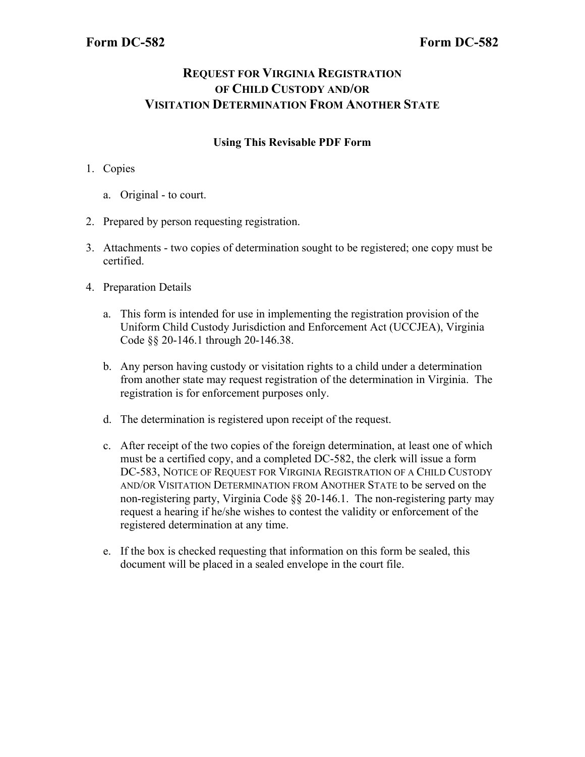# **REQUEST FOR VIRGINIA REGISTRATION OF CHILD CUSTODY AND/OR VISITATION DETERMINATION FROM ANOTHER STATE**

### **Using This Revisable PDF Form**

- 1. Copies
	- a. Original to court.
- 2. Prepared by person requesting registration.
- 3. Attachments two copies of determination sought to be registered; one copy must be certified.
- 4. Preparation Details
	- a. This form is intended for use in implementing the registration provision of the Uniform Child Custody Jurisdiction and Enforcement Act (UCCJEA), Virginia Code §§ 20-146.1 through 20-146.38.
	- b. Any person having custody or visitation rights to a child under a determination from another state may request registration of the determination in Virginia. The registration is for enforcement purposes only.
	- d. The determination is registered upon receipt of the request.
	- c. After receipt of the two copies of the foreign determination, at least one of which must be a certified copy, and a completed DC-582, the clerk will issue a form DC-583, NOTICE OF REQUEST FOR VIRGINIA REGISTRATION OF A CHILD CUSTODY AND/OR VISITATION DETERMINATION FROM ANOTHER STATE to be served on the non-registering party, Virginia Code §§ 20-146.1. The non-registering party may request a hearing if he/she wishes to contest the validity or enforcement of the registered determination at any time.
	- e. If the box is checked requesting that information on this form be sealed, this document will be placed in a sealed envelope in the court file.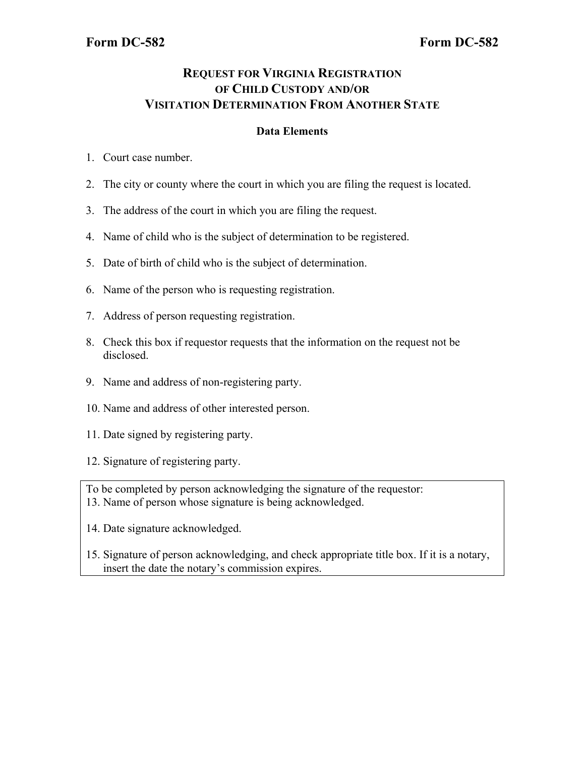# **REQUEST FOR VIRGINIA REGISTRATION OF CHILD CUSTODY AND/OR VISITATION DETERMINATION FROM ANOTHER STATE**

#### **Data Elements**

- 1. Court case number.
- 2. The city or county where the court in which you are filing the request is located.
- 3. The address of the court in which you are filing the request.
- 4. Name of child who is the subject of determination to be registered.
- 5. Date of birth of child who is the subject of determination.
- 6. Name of the person who is requesting registration.
- 7. Address of person requesting registration.
- 8. Check this box if requestor requests that the information on the request not be disclosed.
- 9. Name and address of non-registering party.
- 10. Name and address of other interested person.
- 11. Date signed by registering party.
- 12. Signature of registering party.
- To be completed by person acknowledging the signature of the requestor: 13. Name of person whose signature is being acknowledged.
- 14. Date signature acknowledged.
- 15. Signature of person acknowledging, and check appropriate title box. If it is a notary, insert the date the notary's commission expires.